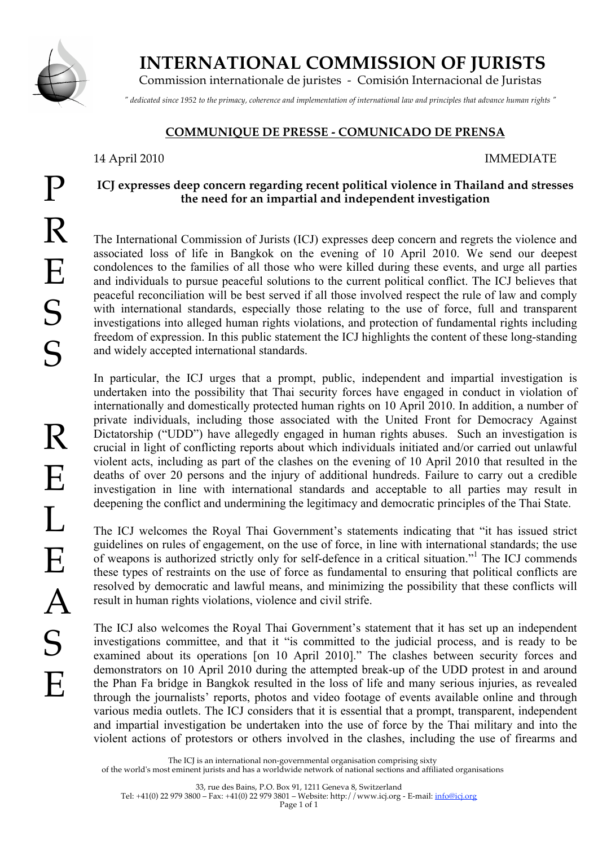

P

 **INTERNATIONAL COMMISSION OF JURISTS**

Commission internationale de juristes - Comisión Internacional de Juristas

*" dedicated since 1952 to the primacy, coherence and implementation of international law and principles that advance human rights "*

# **COMMUNIQUE DE PRESSE - COMUNICADO DE PRENSA**

# 14 April 2010 IMMEDIATE

# **ICJ expresses deep concern regarding recent political violence in Thailand and stresses the need for an impartial and independent investigation**

The International Commission of Jurists (ICJ) expresses deep concern and regrets the violence and associated loss of life in Bangkok on the evening of 10 April 2010. We send our deepest condolences to the families of all those who were killed during these events, and urge all parties and individuals to pursue peaceful solutions to the current political conflict. The ICJ believes that peaceful reconciliation will be best served if all those involved respect the rule of law and comply with international standards, especially those relating to the use of force, full and transparent investigations into alleged human rights violations, and protection of fundamental rights including freedom of expression. In this public statement the ICJ highlights the content of these long-standing and widely accepted international standards.

In particular, the ICJ urges that a prompt, public, independent and impartial investigation is undertaken into the possibility that Thai security forces have engaged in conduct in violation of internationally and domestically protected human rights on 10 April 2010. In addition, a number of private individuals, including those associated with the United Front for Democracy Against Dictatorship ("UDD") have allegedly engaged in human rights abuses. Such an investigation is crucial in light of conflicting reports about which individuals initiated and/or carried out unlawful violent acts, including as part of the clashes on the evening of 10 April 2010 that resulted in the deaths of over 20 persons and the injury of additional hundreds. Failure to carry out a credible investigation in line with international standards and acceptable to all parties may result in deepening the conflict and undermining the legitimacy and democratic principles of the Thai State.

The ICJ welcomes the Royal Thai Government's statements indicating that "it has issued strict guidelines on rules of engagement, on the use of force, in line with international standards; the use of weapons is authorized strictly only for self-defence in a critical situation."<sup>1</sup> The ICJ commends these types of restraints on the use of force as fundamental to ensuring that political conflicts are resolved by democratic and lawful means, and minimizing the possibility that these conflicts will result in human rights violations, violence and civil strife.

The ICJ also welcomes the Royal Thai Government's statement that it has set up an independent investigations committee, and that it "is committed to the judicial process, and is ready to be examined about its operations [on 10 April 2010]." The clashes between security forces and demonstrators on 10 April 2010 during the attempted break-up of the UDD protest in and around the Phan Fa bridge in Bangkok resulted in the loss of life and many serious injuries, as revealed through the journalists' reports, photos and video footage of events available online and through various media outlets. The ICJ considers that it is essential that a prompt, transparent, independent and impartial investigation be undertaken into the use of force by the Thai military and into the violent actions of protestors or others involved in the clashes, including the use of firearms and

The ICJ is an international non-governmental organisation comprising sixty

of the world's most eminent jurists and has a worldwide network of national sections and affiliated organisations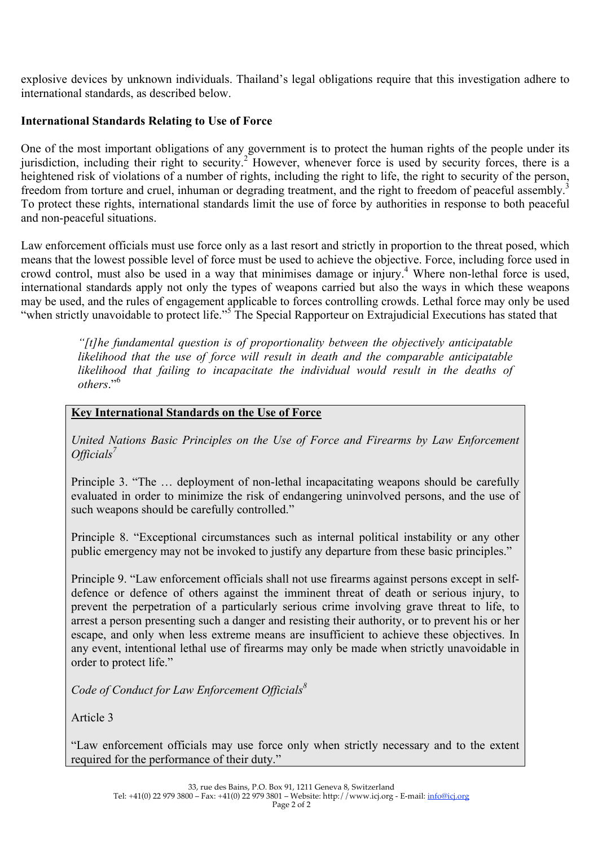explosive devices by unknown individuals. Thailand's legal obligations require that this investigation adhere to international standards, as described below.

# **International Standards Relating to Use of Force**

One of the most important obligations of any government is to protect the human rights of the people under its jurisdiction, including their right to security.<sup>2</sup> However, whenever force is used by security forces, there is a heightened risk of violations of a number of rights, including the right to life, the right to security of the person, freedom from torture and cruel, inhuman or degrading treatment, and the right to freedom of peaceful assembly.<sup>3</sup> To protect these rights, international standards limit the use of force by authorities in response to both peaceful and non-peaceful situations.

Law enforcement officials must use force only as a last resort and strictly in proportion to the threat posed, which means that the lowest possible level of force must be used to achieve the objective. Force, including force used in crowd control, must also be used in a way that minimises damage or injury.<sup>4</sup> Where non-lethal force is used, international standards apply not only the types of weapons carried but also the ways in which these weapons may be used, and the rules of engagement applicable to forces controlling crowds. Lethal force may only be used "when strictly unavoidable to protect life."<sup>5</sup> The Special Rapporteur on Extrajudicial Executions has stated that

> *"[t]he fundamental question is of proportionality between the objectively anticipatable likelihood that the use of force will result in death and the comparable anticipatable likelihood that failing to incapacitate the individual would result in the deaths of others*."<sup>6</sup>

### **Key International Standards on the Use of Force**

*United Nations Basic Principles on the Use of Force and Firearms by Law Enforcement Officials<sup>7</sup>* 

Principle 3. "The … deployment of non-lethal incapacitating weapons should be carefully evaluated in order to minimize the risk of endangering uninvolved persons, and the use of such weapons should be carefully controlled."

Principle 8. "Exceptional circumstances such as internal political instability or any other public emergency may not be invoked to justify any departure from these basic principles."

Principle 9. "Law enforcement officials shall not use firearms against persons except in selfdefence or defence of others against the imminent threat of death or serious injury, to prevent the perpetration of a particularly serious crime involving grave threat to life, to arrest a person presenting such a danger and resisting their authority, or to prevent his or her escape, and only when less extreme means are insufficient to achieve these objectives. In any event, intentional lethal use of firearms may only be made when strictly unavoidable in order to protect life."

*Code of Conduct for Law Enforcement Officials8*

Article 3

"Law enforcement officials may use force only when strictly necessary and to the extent required for the performance of their duty."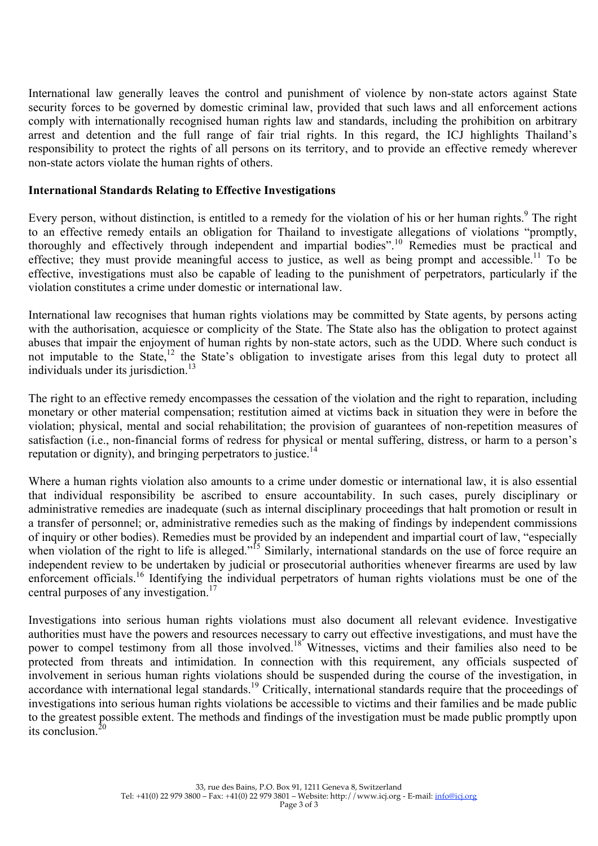International law generally leaves the control and punishment of violence by non-state actors against State security forces to be governed by domestic criminal law, provided that such laws and all enforcement actions comply with internationally recognised human rights law and standards, including the prohibition on arbitrary arrest and detention and the full range of fair trial rights. In this regard, the ICJ highlights Thailand's responsibility to protect the rights of all persons on its territory, and to provide an effective remedy wherever non-state actors violate the human rights of others.

#### **International Standards Relating to Effective Investigations**

Every person, without distinction, is entitled to a remedy for the violation of his or her human rights.<sup>9</sup> The right to an effective remedy entails an obligation for Thailand to investigate allegations of violations "promptly, thoroughly and effectively through independent and impartial bodies".<sup>10</sup> Remedies must be practical and effective; they must provide meaningful access to justice, as well as being prompt and accessible.<sup>11</sup> To be effective, investigations must also be capable of leading to the punishment of perpetrators, particularly if the violation constitutes a crime under domestic or international law.

International law recognises that human rights violations may be committed by State agents, by persons acting with the authorisation, acquiesce or complicity of the State. The State also has the obligation to protect against abuses that impair the enjoyment of human rights by non-state actors, such as the UDD. Where such conduct is not imputable to the State,<sup>12</sup> the State's obligation to investigate arises from this legal duty to protect all individuals under its jurisdiction.<sup>13</sup>

The right to an effective remedy encompasses the cessation of the violation and the right to reparation, including monetary or other material compensation; restitution aimed at victims back in situation they were in before the violation; physical, mental and social rehabilitation; the provision of guarantees of non-repetition measures of satisfaction (i.e., non-financial forms of redress for physical or mental suffering, distress, or harm to a person's reputation or dignity), and bringing perpetrators to justice.<sup>14</sup>

Where a human rights violation also amounts to a crime under domestic or international law, it is also essential that individual responsibility be ascribed to ensure accountability. In such cases, purely disciplinary or administrative remedies are inadequate (such as internal disciplinary proceedings that halt promotion or result in a transfer of personnel; or, administrative remedies such as the making of findings by independent commissions of inquiry or other bodies). Remedies must be provided by an independent and impartial court of law, "especially when violation of the right to life is alleged."<sup>15</sup> Similarly, international standards on the use of force require an independent review to be undertaken by judicial or prosecutorial authorities whenever firearms are used by law enforcement officials.16 Identifying the individual perpetrators of human rights violations must be one of the central purposes of any investigation.<sup>17</sup>

Investigations into serious human rights violations must also document all relevant evidence. Investigative authorities must have the powers and resources necessary to carry out effective investigations, and must have the power to compel testimony from all those involved.<sup>18</sup> Witnesses, victims and their families also need to be protected from threats and intimidation. In connection with this requirement, any officials suspected of involvement in serious human rights violations should be suspended during the course of the investigation, in accordance with international legal standards.<sup>19</sup> Critically, international standards require that the proceedings of investigations into serious human rights violations be accessible to victims and their families and be made public to the greatest possible extent. The methods and findings of the investigation must be made public promptly upon its conclusion  $2$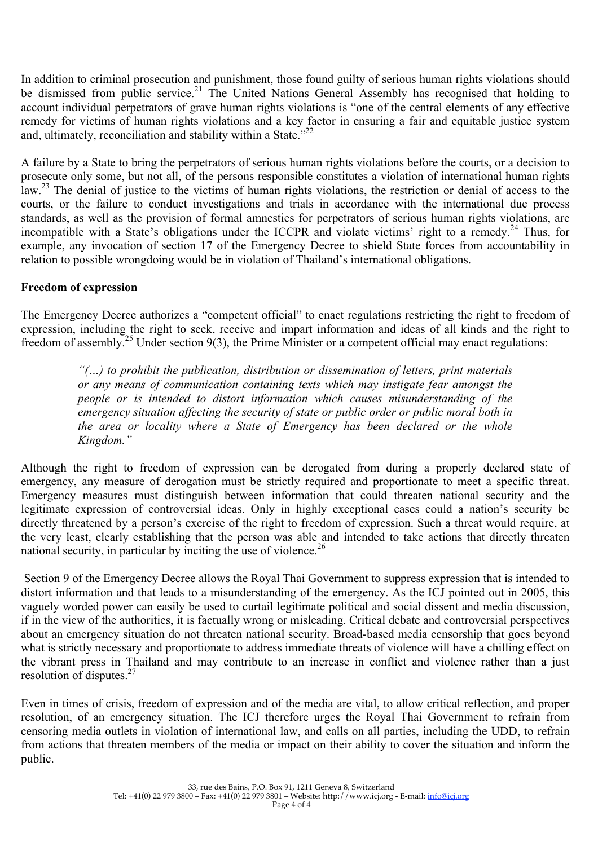In addition to criminal prosecution and punishment, those found guilty of serious human rights violations should be dismissed from public service.<sup>21</sup> The United Nations General Assembly has recognised that holding to account individual perpetrators of grave human rights violations is "one of the central elements of any effective remedy for victims of human rights violations and a key factor in ensuring a fair and equitable justice system and, ultimately, reconciliation and stability within a State. $12^2$ 

A failure by a State to bring the perpetrators of serious human rights violations before the courts, or a decision to prosecute only some, but not all, of the persons responsible constitutes a violation of international human rights law.<sup>23</sup> The denial of justice to the victims of human rights violations, the restriction or denial of access to the courts, or the failure to conduct investigations and trials in accordance with the international due process standards, as well as the provision of formal amnesties for perpetrators of serious human rights violations, are incompatible with a State's obligations under the ICCPR and violate victims' right to a remedy.<sup>24</sup> Thus, for example, any invocation of section 17 of the Emergency Decree to shield State forces from accountability in relation to possible wrongdoing would be in violation of Thailand's international obligations.

# **Freedom of expression**

The Emergency Decree authorizes a "competent official" to enact regulations restricting the right to freedom of expression, including the right to seek, receive and impart information and ideas of all kinds and the right to freedom of assembly.<sup>25</sup> Under section 9(3), the Prime Minister or a competent official may enact regulations:

> *"(…) to prohibit the publication, distribution or dissemination of letters, print materials or any means of communication containing texts which may instigate fear amongst the people or is intended to distort information which causes misunderstanding of the emergency situation affecting the security of state or public order or public moral both in the area or locality where a State of Emergency has been declared or the whole Kingdom."*

Although the right to freedom of expression can be derogated from during a properly declared state of emergency, any measure of derogation must be strictly required and proportionate to meet a specific threat. Emergency measures must distinguish between information that could threaten national security and the legitimate expression of controversial ideas. Only in highly exceptional cases could a nation's security be directly threatened by a person's exercise of the right to freedom of expression. Such a threat would require, at the very least, clearly establishing that the person was able and intended to take actions that directly threaten national security, in particular by inciting the use of violence.<sup>26</sup>

Section 9 of the Emergency Decree allows the Royal Thai Government to suppress expression that is intended to distort information and that leads to a misunderstanding of the emergency. As the ICJ pointed out in 2005, this vaguely worded power can easily be used to curtail legitimate political and social dissent and media discussion, if in the view of the authorities, it is factually wrong or misleading. Critical debate and controversial perspectives about an emergency situation do not threaten national security. Broad-based media censorship that goes beyond what is strictly necessary and proportionate to address immediate threats of violence will have a chilling effect on the vibrant press in Thailand and may contribute to an increase in conflict and violence rather than a just resolution of disputes.<sup>27</sup>

Even in times of crisis, freedom of expression and of the media are vital, to allow critical reflection, and proper resolution, of an emergency situation. The ICJ therefore urges the Royal Thai Government to refrain from censoring media outlets in violation of international law, and calls on all parties, including the UDD, to refrain from actions that threaten members of the media or impact on their ability to cover the situation and inform the public.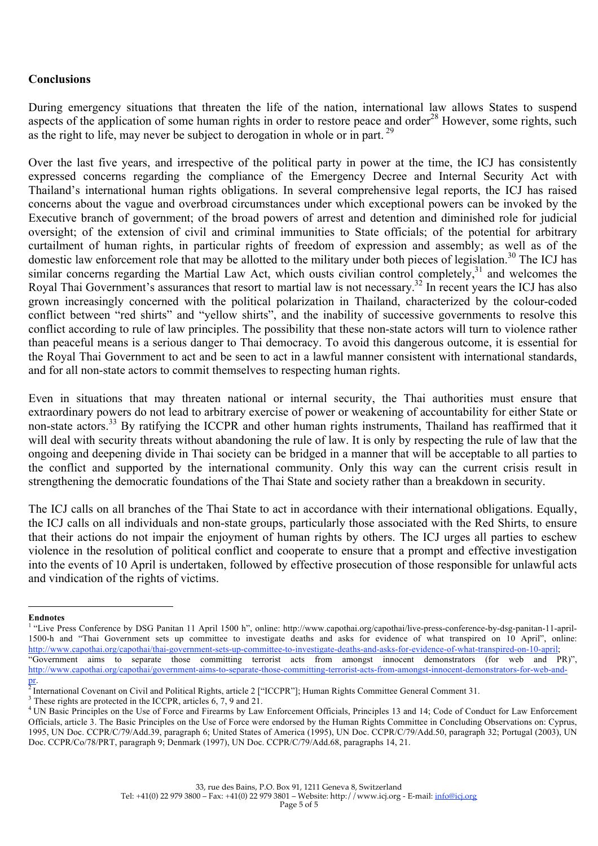### **Conclusions**

During emergency situations that threaten the life of the nation, international law allows States to suspend aspects of the application of some human rights in order to restore peace and order<sup>28</sup> However, some rights, such as the right to life, may never be subject to derogation in whole or in part.<sup>29</sup>

Over the last five years, and irrespective of the political party in power at the time, the ICJ has consistently expressed concerns regarding the compliance of the Emergency Decree and Internal Security Act with Thailand's international human rights obligations. In several comprehensive legal reports, the ICJ has raised concerns about the vague and overbroad circumstances under which exceptional powers can be invoked by the Executive branch of government; of the broad powers of arrest and detention and diminished role for judicial oversight; of the extension of civil and criminal immunities to State officials; of the potential for arbitrary curtailment of human rights, in particular rights of freedom of expression and assembly; as well as of the domestic law enforcement role that may be allotted to the military under both pieces of legislation.<sup>30</sup> The ICJ has similar concerns regarding the Martial Law Act, which ousts civilian control completely,  $31$  and welcomes the Royal Thai Government's assurances that resort to martial law is not necessary.<sup>32</sup> In recent years the ICJ has also grown increasingly concerned with the political polarization in Thailand, characterized by the colour-coded conflict between "red shirts" and "yellow shirts", and the inability of successive governments to resolve this conflict according to rule of law principles. The possibility that these non-state actors will turn to violence rather than peaceful means is a serious danger to Thai democracy. To avoid this dangerous outcome, it is essential for the Royal Thai Government to act and be seen to act in a lawful manner consistent with international standards, and for all non-state actors to commit themselves to respecting human rights.

Even in situations that may threaten national or internal security, the Thai authorities must ensure that extraordinary powers do not lead to arbitrary exercise of power or weakening of accountability for either State or non-state actors.33 By ratifying the ICCPR and other human rights instruments, Thailand has reaffirmed that it will deal with security threats without abandoning the rule of law. It is only by respecting the rule of law that the ongoing and deepening divide in Thai society can be bridged in a manner that will be acceptable to all parties to the conflict and supported by the international community. Only this way can the current crisis result in strengthening the democratic foundations of the Thai State and society rather than a breakdown in security.

The ICJ calls on all branches of the Thai State to act in accordance with their international obligations. Equally, the ICJ calls on all individuals and non-state groups, particularly those associated with the Red Shirts, to ensure that their actions do not impair the enjoyment of human rights by others. The ICJ urges all parties to eschew violence in the resolution of political conflict and cooperate to ensure that a prompt and effective investigation into the events of 10 April is undertaken, followed by effective prosecution of those responsible for unlawful acts and vindication of the rights of victims.

 $\overline{a}$ 

**Endnotes**

<sup>&</sup>lt;sup>1</sup> "Live Press Conference by DSG Panitan 11 April 1500 h", online: http://www.capothai.org/capothai/live-press-conference-by-dsg-panitan-11-april-1500-h and "Thai Government sets up committee to investigate deaths and asks for evidence of what transpired on 10 April", online: http://www.capothai.org/capothai/thai-government-sets-up-committee-to-investigate-deaths-and-asks-for-evidence-of-what-transpired-on-10-april; "Government aims to separate those committing terrorist acts from amongst innocent demonstrators (for web and PR)", http://www.capothai.org/capothai/government-aims-to-separate-those-committing-terrorist-acts-from-amongst-innocent-demonstrators-for-web-and-

pr.<br><sup>2</sup> International Covenant on Civil and Political Rights, article 2 ["ICCPR"]; Human Rights Committee General Comment 31.

These rights are protected in the ICCPR, articles  $6, 7, 9$  and  $21$ .

<sup>&</sup>lt;sup>4</sup> UN Basic Principles on the Use of Force and Firearms by Law Enforcement Officials, Principles 13 and 14; Code of Conduct for Law Enforcement Officials, article 3. The Basic Principles on the Use of Force were endorsed by the Human Rights Committee in Concluding Observations on: Cyprus, 1995, UN Doc. CCPR/C/79/Add.39, paragraph 6; United States of America (1995), UN Doc. CCPR/C/79/Add.50, paragraph 32; Portugal (2003), UN Doc. CCPR/Co/78/PRT, paragraph 9; Denmark (1997), UN Doc. CCPR/C/79/Add.68, paragraphs 14, 21.